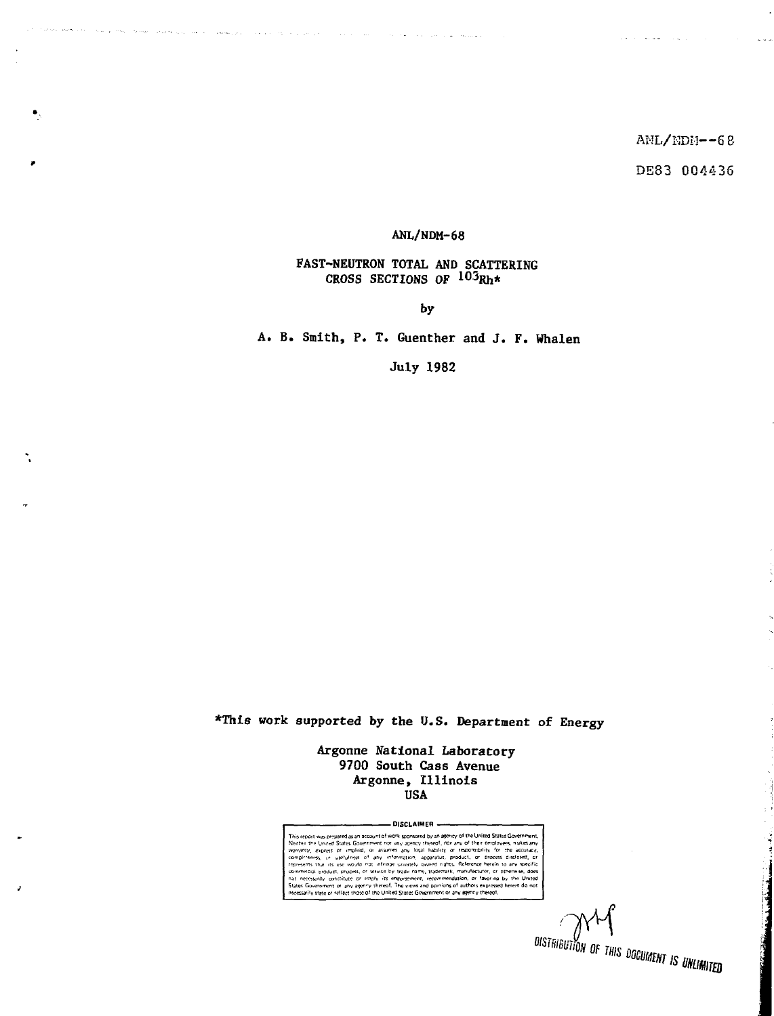ANL/NDN--68

DE83 004436

## **ANL/NDM-68**

## FAST-NEUTRON TOTAL AND SCATTERING CROSS SECTIONS OF  $^{103}\text{Rh}$ \*

by

A. B. Smith, P. T. Guenther and J. F. Whalen

July 1982

\*This work supported by the U.S. Department of Energy

Argonne National Laboratory 9700 South Cass Avenue Argonne, Illinois USA

DISCLAIMER -

by an agency of the United Siates Government. commercial product, process, or service by trade name, trademark, manufac

DISTRIBUTION OF THIS DOCUMENT IS UNLIMITED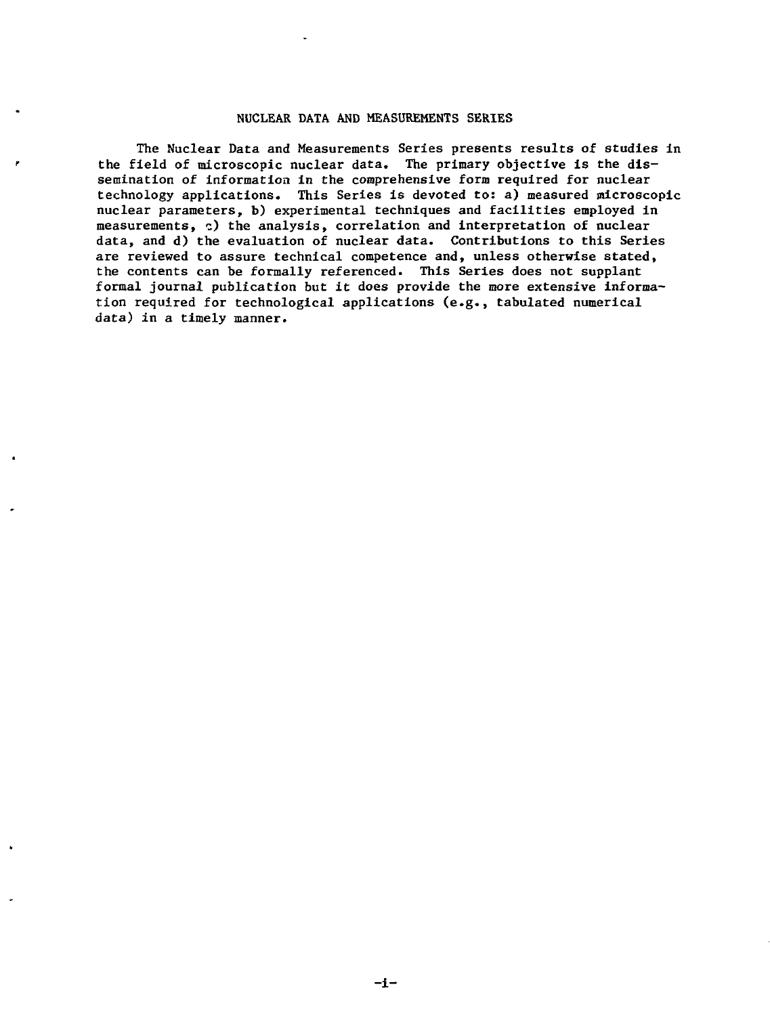## NUCLEAR DATA AND MEASUREMENTS SERIES

The Nuclear Data and Measurements Series presents results of studies in the field of microscopic nuclear data. The primary objective is the dissemination of information in the comprehensive form required for nuclear technology applications. This Series is devoted to: a) measured microscopic nuclear parameters, b) experimental techniques and facilities employed in measurements, c) the analysis, correlation and interpretation of nuclear data, and d) the evaluation of nuclear data. Contributions to this Series are reviewed to assure technical competence and, unless otherwise stated, the contents can be formally referenced. This Series does not supplant formal journal publication but it does provide the more extensive information required for technological applications (e.g., tabulated numerical data) in a timely manner.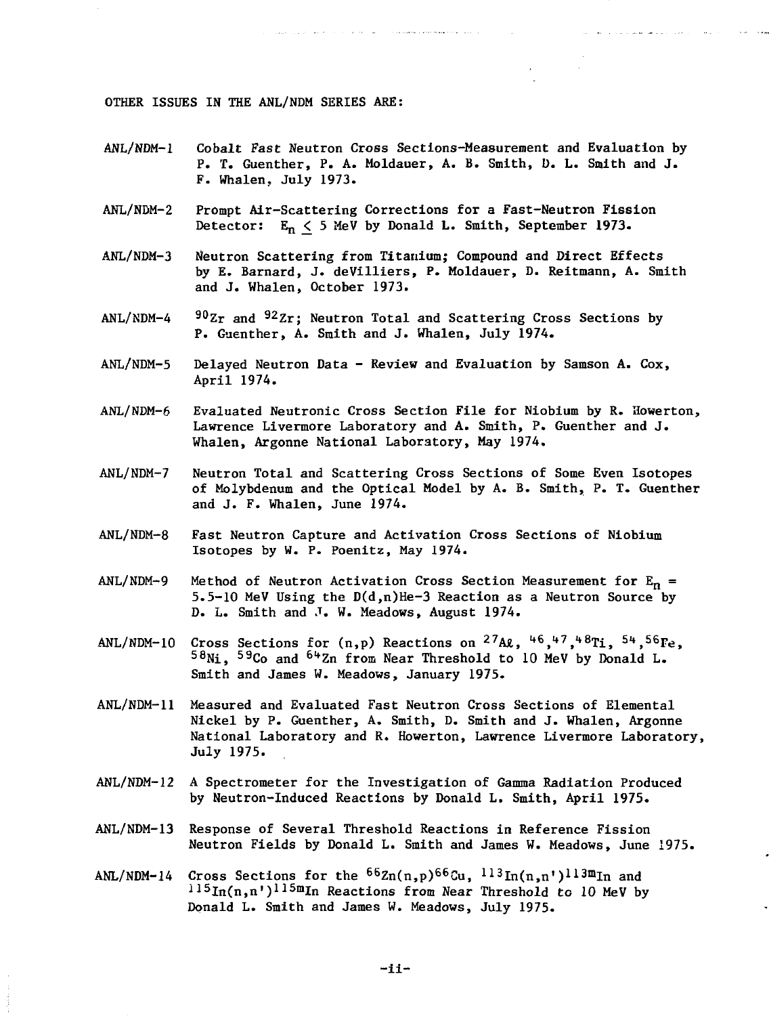OTHER ISSUES IN THE ANL/NDM SERIES ARE:

- ANL/NDM-1 Cobalt Fast Neutron Cross Sections-Measurement and Evaluation by P. T. Guenther, P. A. Moldauer, A. B. Smith, D. L. Smith and J. F. Whalen, July 1973.
- ANL/NDM-2 Prompt Air-Scattering Corrections for a Fast-Neutron Fission Detector:  $E_n < 5$  MeV by Donald L. Smith, September 1973.
- ANL/NDM-3 Neutron Scattering from Titanium; Compound and Direct Effects by E. Barnard, J. deVilliers, P. Moldauer, D. Reitmann, A. Smith and J. Whalen, October 1973.
- ANL/NDM-4  $^{90}\rm{Zr}$  and  $^{92}\rm{Zr}$ ; Neutron Total and Scattering Cross Sections by P. Guenther, A. Smith and J. Whalen, July 1974.
- ANL/NDM-5 Delayed Neutron Data - Review and Evaluation by Samson A. Cox, April 1974.
- ANL/NDM-6 Evaluated Neutronic Cross Section File for Niobium by R. Howerton, Lawrence Livermore Laboratory and A. Smith, P. Guenther and J. Whalen, Argonne National Laboratory, May 1974.
- ANL/NDM-7 Neutron Total and Scattering Cross Sections of Some Even Isotopes of Molybdenum and the Optical Model by A. B. Smith, P. T. Guenther and J. F. Whalen, June 1974.
- ANL/NDM-8 Fast Neutron Capture and Activation Cross Sections of Niobium Isotopes by W. P. Poenitz, May 1974.
- ANL/NDM-9  $5.5-10$  MeV Using the  $D(d,n)$ He-3 Reaction as a Neutron Source by Method of Neutron Activation Cross Section Measurement for  $E_n =$ D. L. Smith and J. W. Meadows, August 1974.
- ANL/NDM-10 Cross Sections for  $(n,p)$  Reactions on  $^{27}$ Al,  $^{46}$ ,  $^{47}$ ,  $^{48}$ Ti,  $^{54}$ ,  $^{56}$ Fe <sup>58</sup>Ni, <sup>59</sup>Co and <sup>64</sup>Zn from Near Threshold to 10 MeV by Donald L. Smith and James W. Meadows, January 1975.
- ANL/NDM-11 Measured and Evaluated Fast Neutron Cross Sections of Elemental Nickel by P. Guenther, A. Smith, D. Smith and J. Whalen, Argonne National Laboratory and R. Howerton, Lawrence Livermore Laboratory, July 1975.
- ANL/NDM-12 A Spectrometer for the Investigation of Gamma Radiation Produced by Neutron-Induced Reactions by Donald L. Smith, April 1975.
- ANL/NDM-13 Response of Several Threshold Reactions in Reference Fission Neutron Fields by Donald L. Smith and James W. Meadows, June 1975.
- ANL/NDM-14 Cross Sections for the  $^{66}$ Zn(n,p) $^{66}$ Cu,  $^{113}$ In(n,n') $^{113}$ m $_{\rm In}$  and  $115\text{In}(n,n')$ <sup>115m</sup>In Reactions from Near Threshold to 10 MeV by Donald L. Smith and James W. Meadows, July 1975.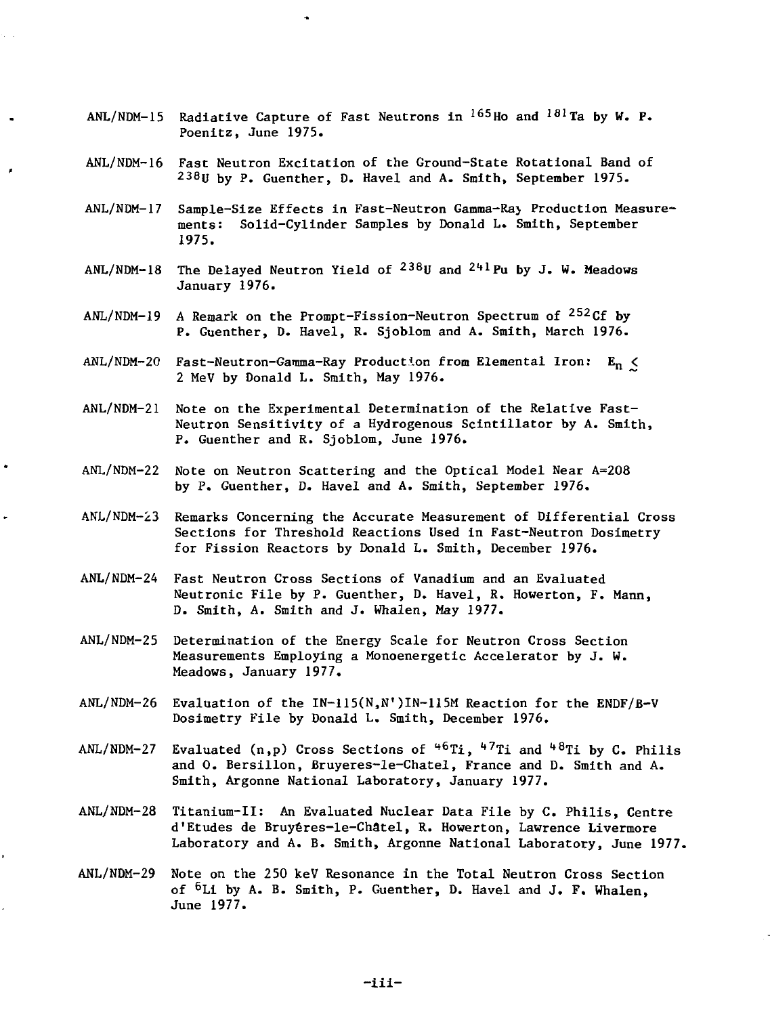- ANL/NDM-15 Radiative Capture of Fast Neutrons in <sup>165</sup>Ho and <sup>181</sup>Ta by W. P. Poenitz, June 1975.
- ANL/NDM-16 Fast Neutron Excitation of the Ground-State Rotational Band of 238u by P. Guenther, D. Havel and A. Smith, September 1975.
- ANL/NDM-17 Sample-Size Effects in Fast-Neutron Gamma-Ra> Production Measurements: Solid-Cylinder Samples by Donald L. Smith, September 1975.
- <code>ANL/NDM-18 The Delayed Neutron Yield</code> of  $^{238}$ U and  $^{241}$ Pu by J. W. Meadows January 1976.
- ANL/NDM-19 A Remark on the Prompt-Fission-Neutron Spectrum of <sup>252</sup>Cf by P. Guenther, D. Havel, R. Sjoblom and A. Smith, March 1976.
- ANL/NDM-20 Fast-Neutron-Gamma-Ray Production from Elemental Iron:  $E_n$  < 2 MeV by Donald L. Smith, May 1976.
- ANL/NDM-21 Note on the Experimental Determination of the Relative Fast-Neutron Sensitivity of a Hydrogenous Scintillator by A. Smith, P. Guenther and R. Sjoblom, June 1976.
- ANL/NDM-22 Note on Neutron Scattering and the Optical Model Near A=208 by P. Guenther, D. Havel and A. Smith, September 1976.
- ANL/NDM-23 Remarks Concerning the Accurate Measurement of Differential Cross Sections for Threshold Reactions Used in Fast-Neutron Dosimetry for Fission Reactors by Donald L. Smith, December 1976.
- ANL/NDM-24 Fast Neutron Cross Sections of Vanadium and an Evaluated Neutronic File by P. Guenther, D. Havel, R. Howerton, F. Mann, D. Smith, A. Smith and J. Whalen, May 1977.
- ANL/NDM-25 Determination of the Energy Scale for Neutron Cross Section Measurements Employing a Monoenergetic Accelerator by J. W. Meadows, January 1977.
- ANL/NDM-26 Evaluation of the IN-115(N,N')IN-115M Reaction for the ENDF/B-V Dosimetry File by Donald L. Smith, December 1976.
- ANL/NDM-27 Evaluated (n,p) Cross Sections of <sup>46</sup>Ti, <sup>47</sup>Ti and <sup>48</sup>Ti by C. Philis and 0. Bersillon, Bruyeres-le-Chatel, France and D. Smith and A. Smith, Argonne National Laboratory, January 1977.
- ANL/NDM-28 Titanium-II: An Evaluated Nuclear Data File by C. Philis, Centre d'Etudes de Bruyeres-le-Chatel, R. Howerton, Lawrence Livermore Laboratory and A. B. Smith, Argonne National Laboratory, June 1977.
- ANL/NDM-29 Note on the 250 keV Resonance in the Total Neutron Cross Section of <sup>5</sup>Li by A. B. Smith, P. Guenther, D. Havel and J. F. Whalen, June 1977.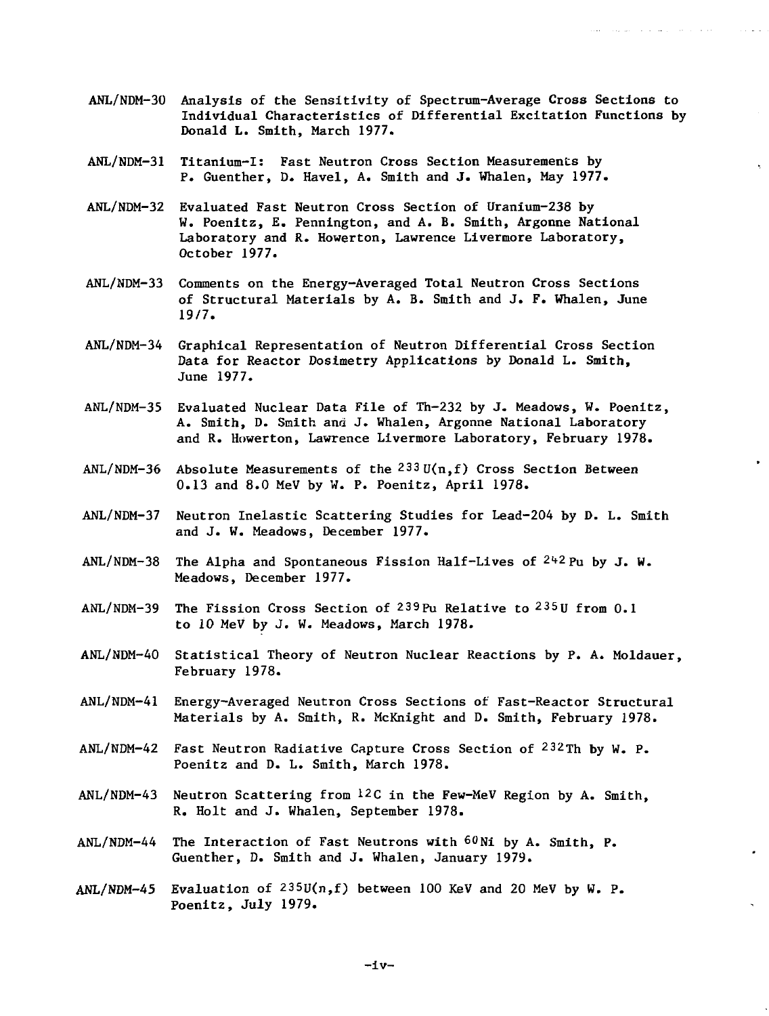- ANL/NDM-30 Analysis of the Sensitivity of Spectrum-Average Cross Sections to Individual Characteristics of Differential Excitation Functions by Donald L. Smith, March 1977.
- ANL/NDM-31 Titanium-I: Fast Neutron Cross Section Measurements by P. Guenther, D. Havel, A. Smith and J. Whalen, May 1977.
- ANL/NDM-32 Evaluated Fast Neutron Cross Section of Uranium-238 by W. Poenitz, E. Pennington, and A. B. Smith, Argonne National Laboratory and R. Howerton, Lawrence Livermore Laboratory, October 1977.
- ANL/NDM-33 Comments on the Energy-Averaged Total Neutron Cross Sections of Structural Materials by A. B. Smith and J. F. Whalen, June 19/7.
- ANL/NDM-34 Graphical Representation of Neutron Differential Cross Section Data for Reactor Dosimetry Applications by Donald L. Smith, June 1977.
- ANL/NDM-35 Evaluated Nuclear Data File of Th-232 by J. Meadows, W. Poenitz, A. Smith, D. Smith and J. Whalen, Argonne National Laboratory and R. Howerton, Lawrence Livermore Laboratory, February 1978.
- ANL/NDM-36 Absolute Measurements of the  $^{233}$  U(n,f) Cross Section Between 0.13 and 8.0 MeV by W. P. Poenitz, April 1978.
- ANL/NDM-37 Neutron Inelastic Scattering Studies for Lead-204 by D. L. Smith and J. W. Meadows, December 1977.
- ANL/NDM-38 The Alpha and Spontaneous Fission Half-Lives of  $242$  Pu by J. W. Meadows, December 1977.
- ANL/NDM-39 The Fission Cross Section of  $239$ Pu Relative to  $235$ U from 0.1 to 10 MeV by J. W. Meadows, March 1978.
- ANL/NDM-40 Statistical Theory of Neutron Nuclear Reactions by P. A. Moldauer, February 1978.
- ANL/NDM-41 Energy-Averaged Neutron Cross Sections of Fast-Reactor Structural Materials by A. Smith, R. McKnight and D. Smith, February 1978.
- ANL/NDM-42 Fast Neutron Radiative Capture Cross Section of 232Th by W. P. Poenitz and D. L. Smith, March 1978.
- ANL/NDM-43 Neutron Scattering from 12c in the Few-MeV Region by A. Smith, R. Holt and J. Whalen, September 1978.
- $ANL/NDM-44$  The Interaction of Fast Neutrons with  $60Ni$  by A. Smith, P. Guenther, D. Smith and J. Whalen, January 1979.
- ANL/NDM-45 Evaluation of  $235U(n,f)$  between 100 KeV and 20 MeV by W. P. Poenitz, July 1979.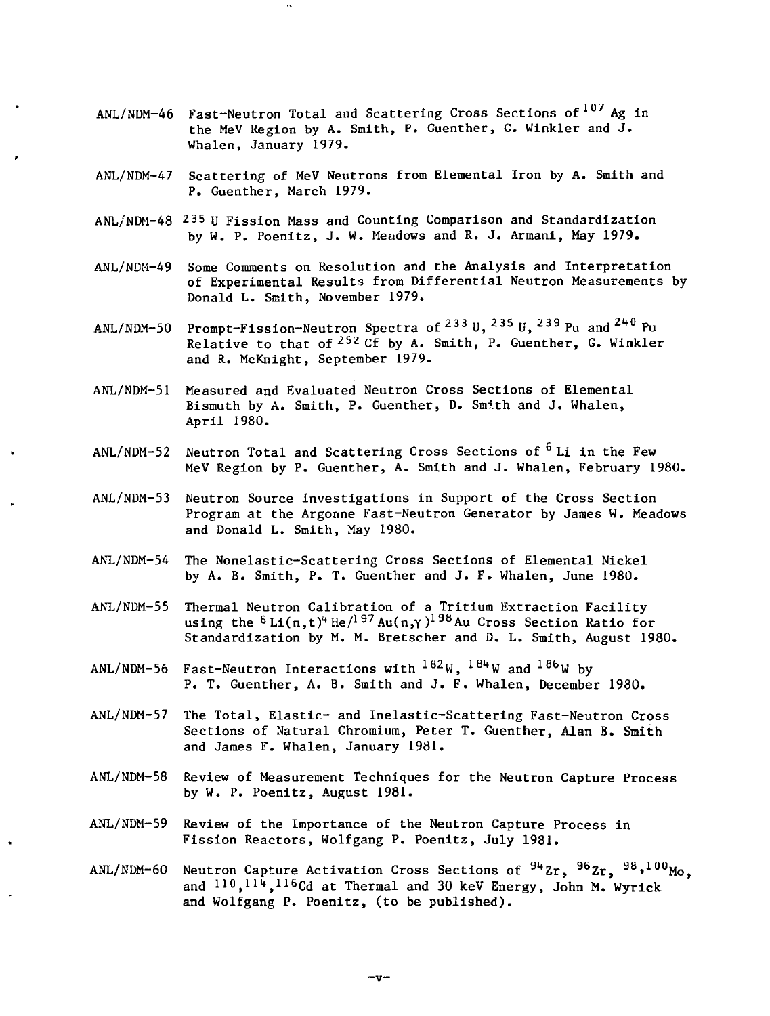- ANL/NDM-46 Fast-Neutron Total and Scattering Cross Sections of  $107$  Ag in the MeV Region by A. Smith, P. Guenther, G. Winkler and J. Whalen, January 1979.
- ANL/NDM-47 Scattering of MeV Neutrons from Elemental Iron by A. Smith and P. Guenther, March 1979.
- ANL/NDM-48 2 35 u Fission Mass and Counting Comparison and Standardization by W. P. Poenitz, J. W. Meadows and R. J. Armani, May 1979.
- ANL/NDM-49 Some Comments on Resolution and the Analysis and Interpretation of Experimental Results from Differential Neutron Measurements by Donald L. Smith, November 1979.
- ANL/NDM-50 Prompt-Fission-Neutron Spectra of <sup>233</sup> U, <sup>235</sup> U, <sup>239</sup> Pu and <sup>240</sup> Pu Relative to that of <sup>252</sup> Cf by A. Smith, P. Guenther, G. Winkler and R. McKnight, September 1979.
- ANL/NDM-51 Measured and Evaluated Neutron Cross Sections of Elemental Bismuth by A. Smith, P. Guenther, D. Smith and J. Whalen, April 1980.
- $AML/NDM-52$  Neutron Total and Scattering Cross Sections of  $6$  Li in the Few MeV Region by P. Guenther, A. Smith and J. Whalen, February 1980.
- ANL/NDM-53 Neutron Source Investigations in Support of the Cross Section Program at the Argonne Fast-Neutron Generator by James W. Meadows and Donald L. Smith, May 1980.
- ANL/NDM-54 The Nonelastic-Scattering Cross Sections of Elemental Nickel by A. B. Smith, P. T. Guenther and J. F. Whalen, June 1980.
- ANL/NDM-55 Thermal Neutron Calibration of a Tritium Extraction Facility using the  $6$  Li(n,t)<sup>4</sup> He/<sup>1 97</sup> Au(n, $\gamma$ )<sup>1 98</sup> Au Cross Section Ratio for Standardization by M. M. Bretscher and D. L. Smith, August 1980.
- <code>ANL/NDM-56 Fast-Neutron Interactions</code> with  $^{182}$ W,  $^{184}$ W and  $^{186}$ W b P. T. Guenther, A. B. Smith and J. F. Whalen, December 1980.
- ANL/NDM-57 The Total, Elastic- and Inelastic-Scattering Fast-Neutron Cross Sections of Natural Chromium, Peter T. Guenther, Alan B. Smith and James F. Whalen, January 1981.
- ANL/NDM-58 Review of Measurement Techniques for the Neutron Capture Process by W. P. Poenitz, August 1981.
- ANL/NDM-59 Review of the Importance of the Neutron Capture Process in Fission Reactors, Wolfgang P. Poenitz, July 1981.
- ANL/NDM-60 Neutron Capture Activation Cross Sections of  $^{94}$ Zr,  $^{96}$ Zr,  $^{98}$ , $^{100}$ Mo and  $110, 114, 116$ Cd at Thermal and 30 keV Energy, John M. Wyrick and Wolfgang P. Poenitz, (to be published).

-v-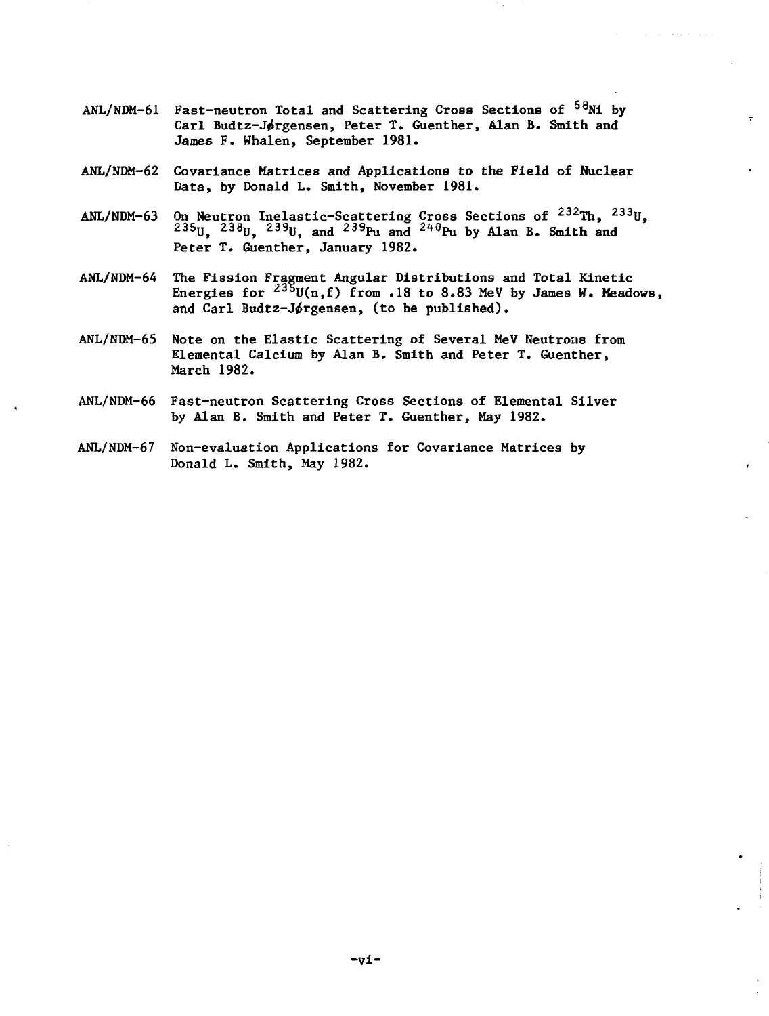- ANL/NDM-61 Fast-neutron Total and Scattering Cross Sections of <sup>58</sup>Ni by Carl Budtz-Jørgensen, Peter T. Guenther, Alan B. Smith and James F. Whalen, September 1981.
- ANL/NDM-62 Covariance Matrices and Applications to the Field of Nuclear Data, by Donald L. Smith, November 1981.
- ANL/NDM-63 On Neutron Inelastic-Scattering Cross Sections of <sup>232</sup>Th, <sup>233</sup>U,  $^{235}$ U,  $^{238}$ U,  $^{239}$ U, and  $^{239}$ Pu and  $^{240}$ Pu by Alan B. Smith an Peter T. Guenther, January 1982.
- ANL/NDM-64 The Fission Fragment Angular Distributions and Total Kinetic Energies for  $^{235}$ U(n,f) from .18 to 8.83 MeV by James W. Meadows, and Carl Budtz-Jørgensen, (to be published).
- ANL/NDM-65 Note on the Elastic Scattering of Several MeV Neutrons from Elemental Calcium by Alan B. Smith and Peter T. Guenther, March 1982.
- ANL/NDM-66 Fast-neutron Scattering Cross Sections of Elemental Silver by Alan B. Smith and Peter T. Guenther, May 1982.
- ANL/NDM-67 Non-evaluation Applications for Covariance Matrices by Donald L. Smith, May 1982.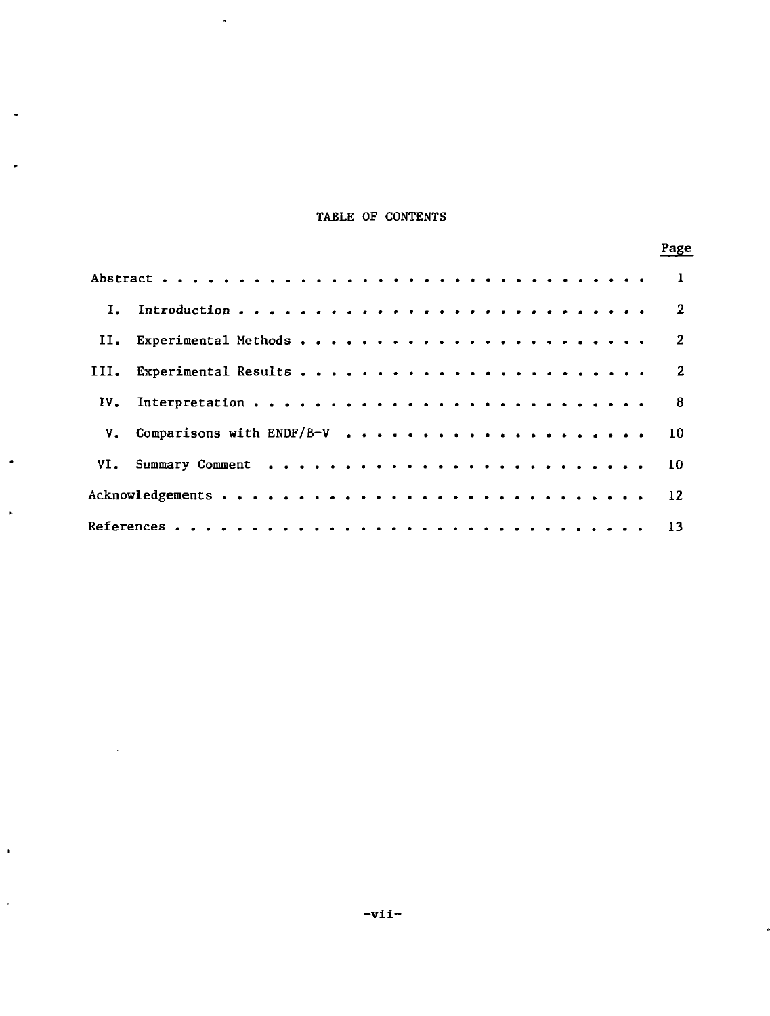# TABLE OF CONTENTS

 $\sim$ 

 $\bullet$ 

×

 $\bullet$ 

 $\ddot{\phantom{a}}$ 

 $\bullet$ 

 $\ddot{\phantom{1}}$ 

 $\sim 10^7$ 

|  | Page |
|--|------|
|  |      |
|  |      |
|  |      |
|  |      |
|  |      |
|  |      |
|  |      |
|  |      |
|  |      |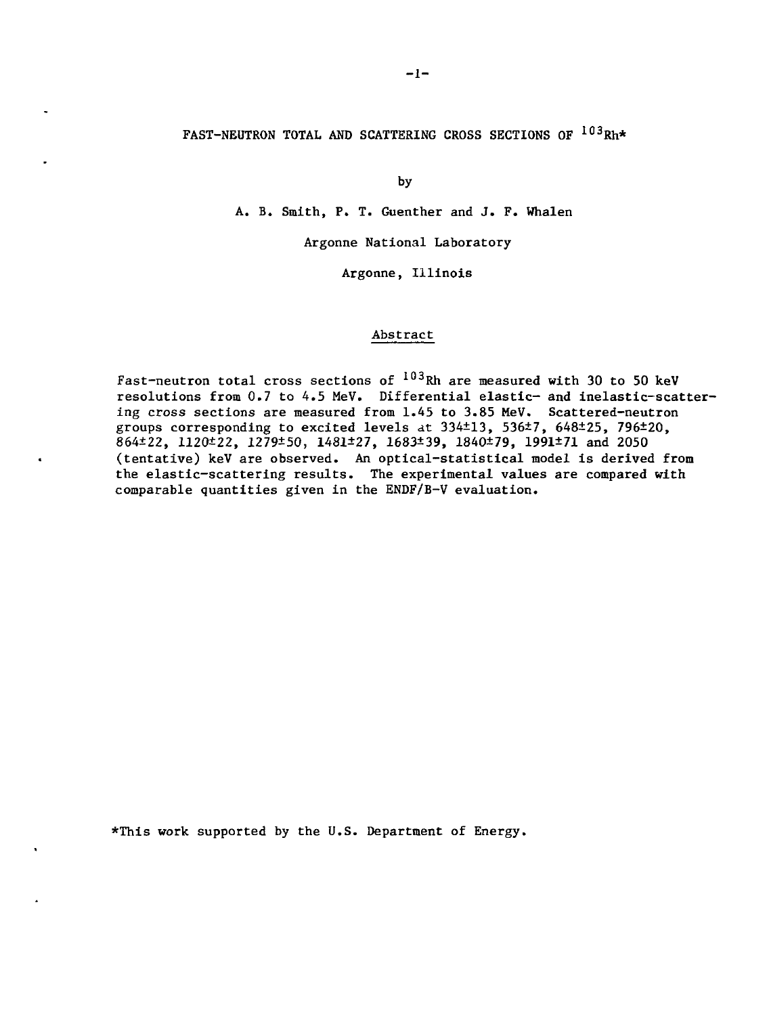## FAST-NEUTRON TOTAL AND SCATTERING CROSS SECTIONS OF <sup>103</sup>Rh\*

by

A. B. Smith, P. T. Guenther and J. F. Whalen

Argonne National Laboratory

Argonne, Illinois

## Abstract

Fast-neutron total cross sections of  $^{103}\rm{Rh}$  are measured with 30 to 50 keV resolutions from 0.7 to 4.5 MeV. Differential elastic- and inelastic-scattering cross sections are measured from 1.45 to 3.85 MeV. Scattered-neutron groups corresponding to excited levels at 334±13, 536±7, 648±25, 796±20, 864±22, 1120±22, 1279±50, 1481±27, 1683±39, 1840±79, 1991±71 and 2050 (tentative) keV are observed. An optical-statistical model is derived from the elastic-scattering results. The experimental values are compared with comparable quantities given in the ENDF/B-V evaluation.

\*This work supported by the U.S. Department of Energy.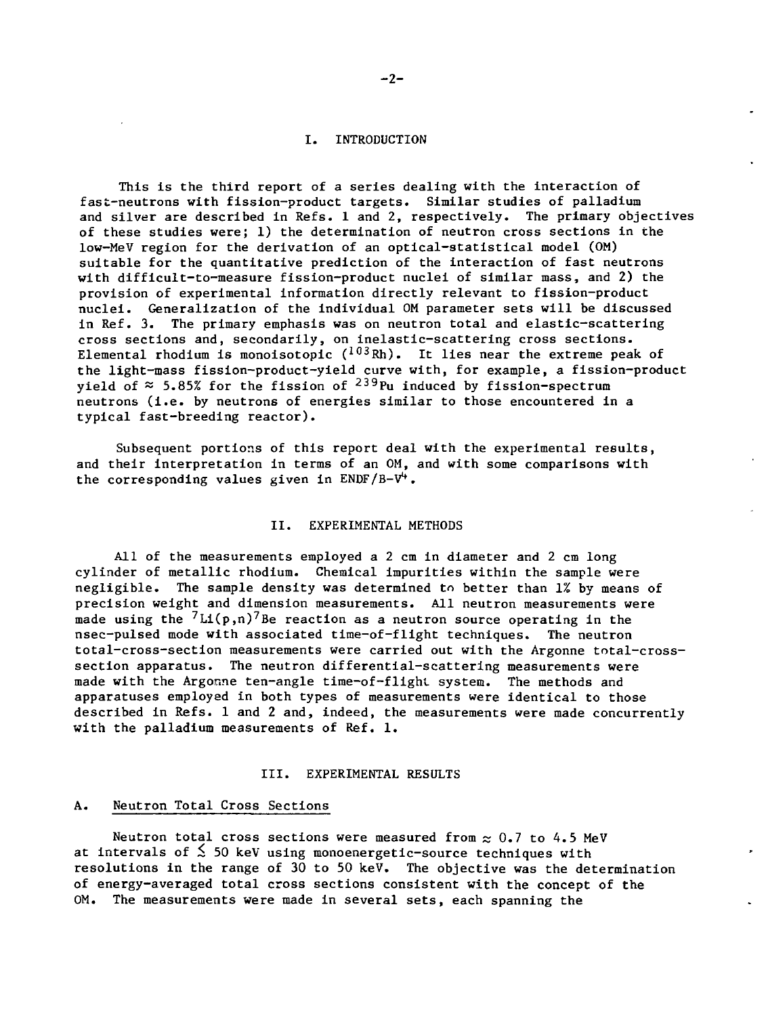#### I. INTRODUCTION

This is the third report of a series dealing with the interaction of fast-neutrons with fission-product targets. Similar studies of palladium and silver are described in Refs. 1 and 2, respectively. The primary objectives of these studies were; 1) the determination of neutron cross sections in the low-MeV region for the derivation of an optical-statistical model (OM) suitable for the quantitative prediction of the interaction of fast neutrons with difficult-to-measure fission-product nuclei of similar mass, and 2) the provision of experimental information directly relevant to fission-product nuclei. Generalization of the individual OM parameter sets will be discussed in Ref. 3. The primary emphasis was on neutron total and elastic-scattering cross sections and, secondarily, on inelastic-scattering cross sections. Elemental rhodium is monoisotopic  $(^{103}Rh)$ . It lies near the extreme peak of the light-mass fission-product-yield curve with, for example, a fission-product vield of  $\approx$  5.85% for the fission of  $^{239}$ Pu induced by fission-spectrum neutrons (i.e. by neutrons of energies similar to those encountered in a typical fast-breeding reactor).

Subsequent portions of this report deal with the experimental results, and their interpretation in terms of an OM, and with some comparisons with the corresponding values given in ENDF/B- $V^4$ .

#### II. EXPERIMENTAL METHODS

All of the measurements employed a 2 cm in diameter and 2 cm long cylinder of metallic rhodium. Chemical impurities within the sample were negligible. The sample density was determined to better than 1% by means of precision weight and dimension measurements. All neutron measurements were made using the  ${}^{7}$ Li(p,n) ${}^{7}$ Be reaction as a neutron source operating in the nsec-pulsed mode with associated time-of-flight techniques. The neutron total-cross-section measurements were carried out with the Argonne total-crosssection apparatus. The neutron differential-scattering measurements were made with the Argonne ten-angle time-of-flight system. The methods and apparatuses employed in both types of measurements were identical to those described in Refs. 1 and 2 and, indeed, the measurements were made concurrently with the palladium measurements of Ref. 1.

## III. EXPERIMENTAL RESULTS

#### A. Neutron Total Cross Sections

Neutron total cross sections were measured from  $\approx$  0.7 to 4.5 MeV at intervals of  $\leq$  50 keV using monoenergetic-source techniques with resolutions in the range of 30 to 50 keV. The objective was the determination of energy-averaged total cross sections consistent with the concept of the OM. The measurements were made in several sets, each spanning the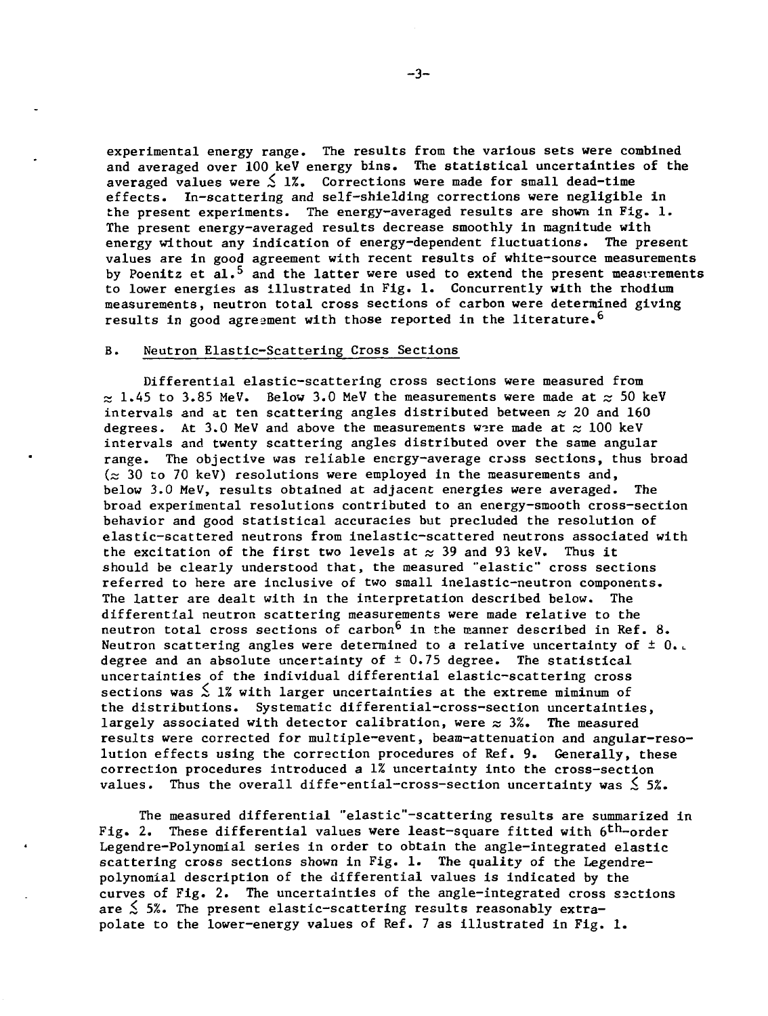experimental energy range. The results from the various sets were combined and averaged over 100 keV energy bins. The statistical uncertainties of the averaged values were  $\leq 1\%$ . Corrections were made for small dead-time effects. In-scattering and self-shielding corrections were negligible in the present experiments. The energy-averaged results are shown in Fig. 1. The present energy-averaged results decrease smoothly in magnitude with energy without any indication of energy-dependent fluctuations. The present values are in good agreement with recent results of white-source measurements by Poenitz et al.<sup>5</sup> and the latter were used to extend the present measurements to lower energies as illustrated in Fig. 1. Concurrently with the rhodium measurements, neutron total cross sections of carbon were determined giving results in good agreement with those reported in the literature.<sup>6</sup>

## B. Neutron Elastic-Scattering Cross Sections

Differential elastic-scattering cross sections were measured from  $\approx$  1.45 to 3.85 MeV. Below 3.0 MeV the measurements were made at  $\approx$  50 keV intervals and at ten scattering angles distributed between  $\approx$  20 and 160 degrees. At 3.0 MeV and above the measurements were made at  $\approx 100$  keV intervals and twenty scattering angles distributed over the same angular range. The objective was reliable energy-average cross sections, thus broad  $(z; 30$  to 70 keV) resolutions were employed in the measurements and, below 3.0 MeV, results obtained at adjacent energies were averaged. The broad experimental resolutions contributed to an energy-smooth cross-section behavior and good statistical accuracies but precluded the resolution of elastic-scattered neutrons from inelastic-scattered neutrons associated with the excitation of the first two levels at  $\approx$  39 and 93 keV. Thus it should be clearly understood that, the measured "elastic" cross sections referred to here are inclusive of two small inelastic-neutron components. The latter are dealt with in the interpretation described below. The differential neutron scattering measurements were made relative to the neutron total cross sections of carbon<sup>6</sup> in the manner described in Ref. 8. Neutron scattering angles were determined to a relative uncertainty of  $\pm$  0. degree and an absolute uncertainty of  $\pm$  0.75 degree. The statistical uncertainties of the individual differential elastic-scattering cross sections was  $\lesssim$  1% with larger uncertainties at the extreme miminum of the distributions. Systematic differential-cross-section uncertainties, largely associated with detector calibration, were  $\approx$  3%. The measured results were corrected for multiple-event, beam-attenuation and angular-resolution effects using the correction procedures of Ref. 9. Generally, these correction procedures introduced a 1% uncertainty into the cross-section values. Thus the overall diffe-ential-cross-section uncertainty was  $\leq 5\%$ .

The measured differential "elastic"-scattering results are summarized in Fig. 2. These differential values were least-square fitted with  $6^{\text{th}}$ -order Legendre-Polynomial series in order to obtain the angle-integrated elastic scattering cross sections shown in Fig. 1. The quality of the Legendrepolynomial description of the differential values is indicated by the curves of Fig. 2. The uncertainties of the angle-integrated cross sactions are  $\lesssim$  5%. The present elastic-scattering results reasonably extrapolate to the lower-energy values of Ref. 7 as illustrated in Fig. 1.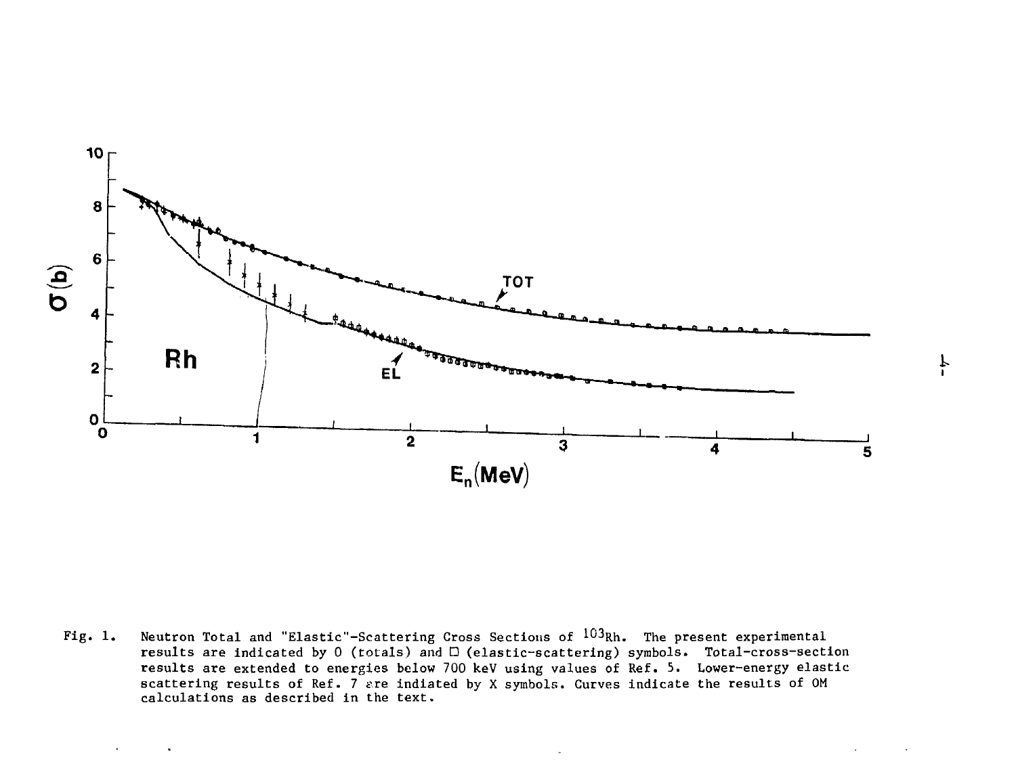

 $\ddagger$ 

Fig. 1. Neutron Total and "Elastic"-Scattering Cross Sections of  $^{103}\rm{Rh}$ . The present experimental results are indicated by 0 (totals) and D (elastic-scattering) symbols. Total-cross-section results are extended to energies below 700 keV using values of Ref. 5. Lower-energy elastic scattering results of Ref. 7 are indiated by X symbols. Curves indicate the results of OM calculations as described in the text.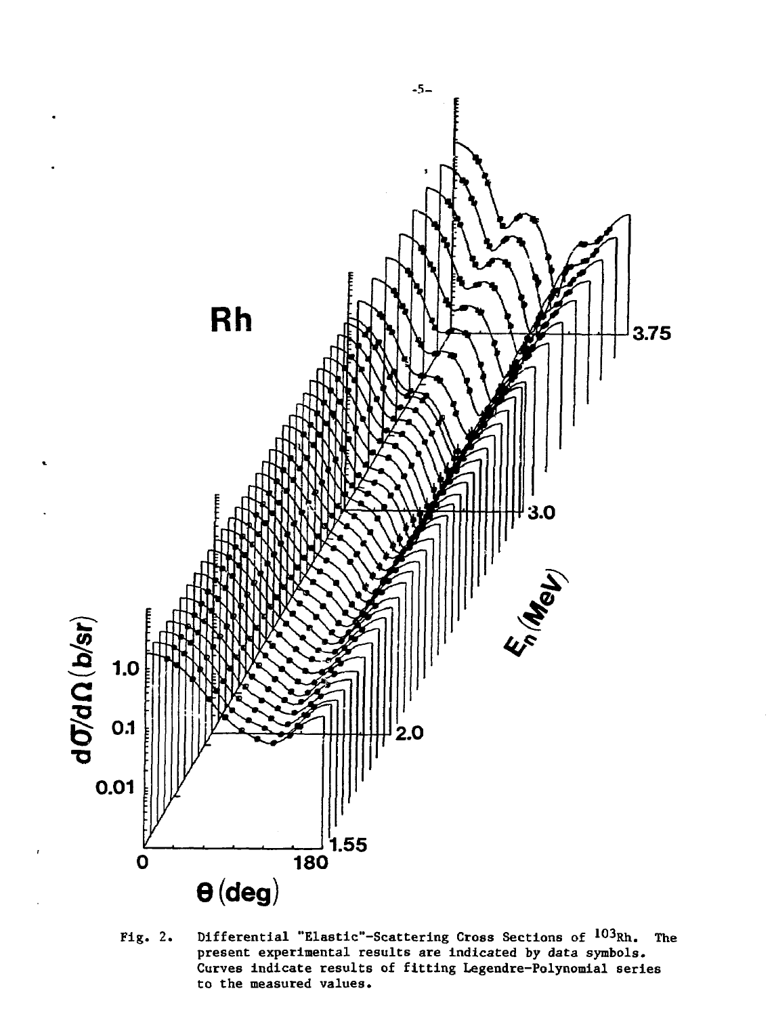

**Fig. 2. Differential "Elastic"-Scattering Cross Sections of <sup>103</sup>Rh. The present experimental results are indicated by data symbols. Curves indicate results of fitting Legendre-Polynomial series to the measured values.**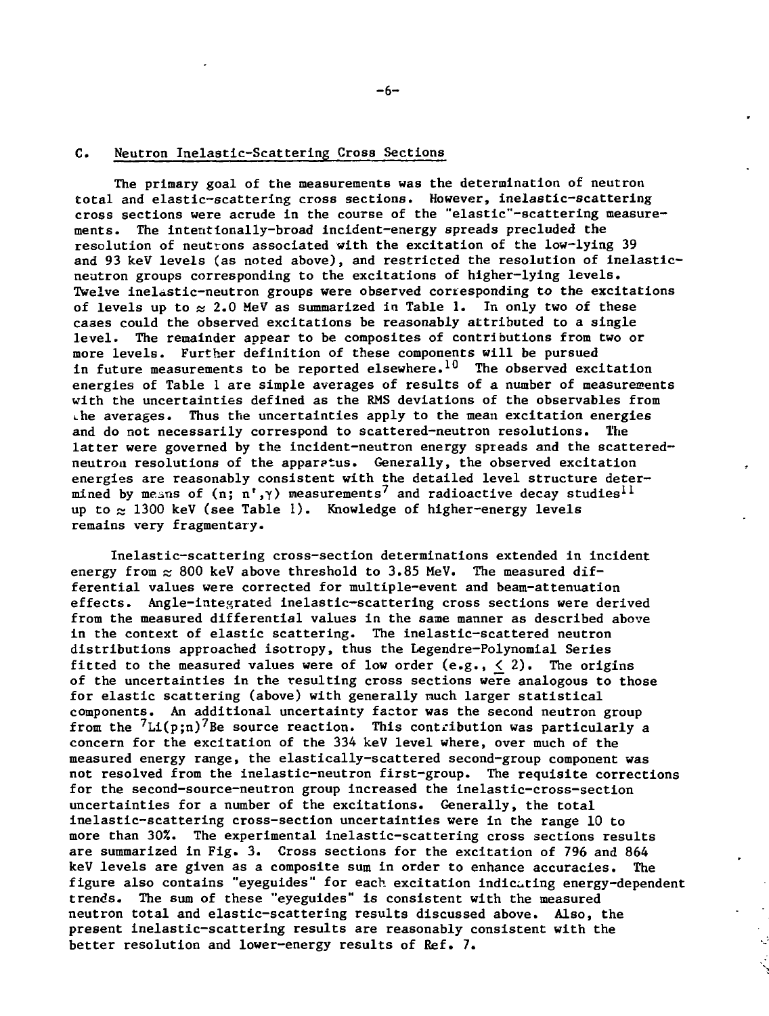#### C. Neutron Inelastic-Scattering Cross Sections

The primary goal of the measurements was the determination of neutron total and elastic-scattering cross sections. However, inelastic-scattering cross sections were acrude in the course of the "elastlc"-scattering measurements. The Intentionally-broad incident-energy spreads precluded the resolution of neutrons associated with the excitation of the low-lying 39 and 93 keV levels (as noted above), and restricted the resolution of inelasticneutron groups corresponding to the excitations of higher-lying levels. Twelve inelastic-neutron groups were observed corresponding to the excitations of levels up to  $\approx$  2.0 MeV as summarized in Table 1. In only two of these cases could the observed excitations be reasonably attributed to a single level. The remainder appear to be composites of contributions from two or more levels. Further definition of these components will be pursued in future measurements to be reported elsewhere.<sup>10</sup> The observed excitation energies of Table 1 are simple averages of results of a number of measurements with the uncertainties defined as the RMS deviations of the observables from  $\iota$ he averages. Thus the uncertainties apply to the mean excitation energies and do not necessarily correspond to scattered-neutron resolutions. The latter were governed by the incident-neutron energy spreads and the scatteredneutron resolutions of the apparatus. Generally, the observed excitation energies are reasonably consistent with the detailed level structure determined by means of (n; n',y) measurements<sup>7</sup> and radioactive decay studies<sup>11</sup> up to  $\approx$  1300 keV (see Table 1). Knowledge of higher-energy levels remains very fragmentary.

Inelastic-scattering cross-section determinations extended in incident energy from  $\approx 800$  keV above threshold to 3.85 MeV. The measured differential values were corrected for multiple-event and beam-attenuation effects. Angle-integrated inelastic-scattering cross sections were derived from the measured differential values in the same manner as described above in the context of elastic scattering. The inelastic-scattered neutron distributions approached isotropy, thus the Legendre-Polynomial Series fitted to the measured values were of low order  $(e.g., < 2)$ . The origins of the uncertainties in the resulting cross sections were analogous to those for elastic scattering (above) with generally nuch larger statistical components. An additional uncertainty factor was the second neutron group from the  ${}^{7}$ Li(p;n)<sup>7</sup>Be source reaction. This contribution was particularly a concern for the excitation of the 334 keV level where, over much of the measured energy range, the elastically-scattered second-group component was not resolved from the inelastic—neutron first-group. The requisite corrections for the second-source-neutron group increased the inelastic-cross-section uncertainties for a number of the excitations. Generally, the total inelastic-scattering cross-section uncertainties were in the range 10 to more than 30%. The experimental inelastic-scattering cross sections results are summarized in Fig. 3. Cross sections for the excitation of 796 and 864 keV levels are given as a composite sum in order to enhance accuracies. The figure also contains "eyeguides" for each excitation indicating energy-dependent trends. The sum of these "eyeguides" is consistent with the measured neutron total and elastic-scattering results discussed above. Also, the present inelastic-scattering results are reasonably consistent with the better resolution and lower-energy results of Ref. 7.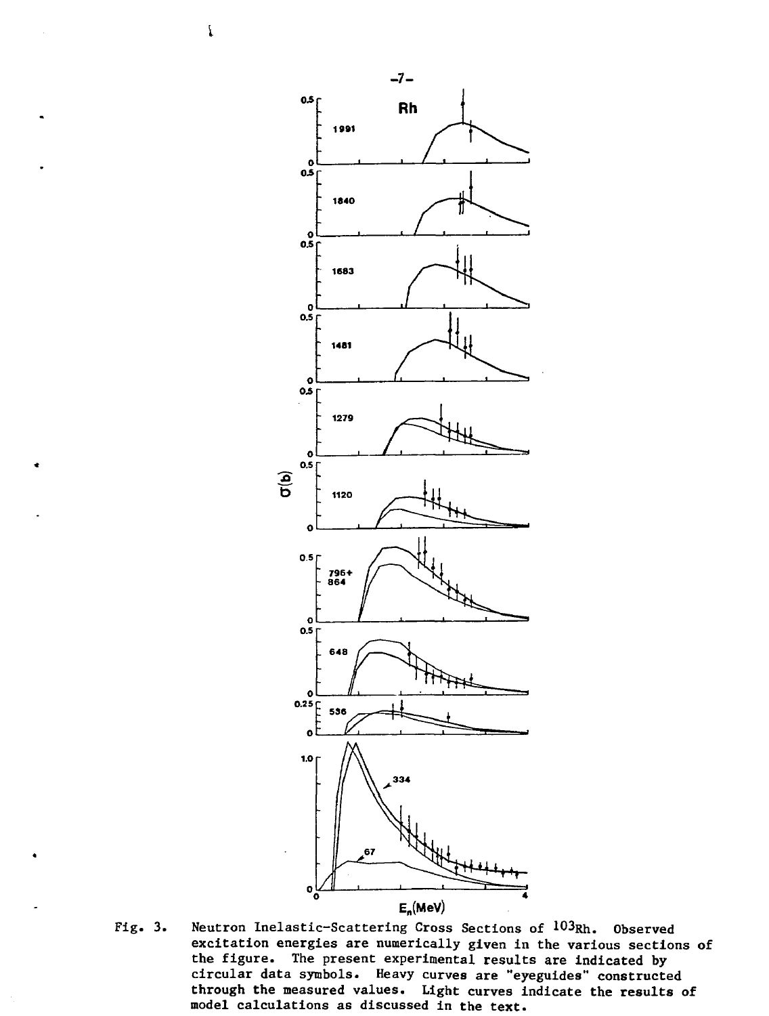

Fig. 3. Neutron Inelastic-Scattering Cross Sections of 103Rh. Observed excitation energies are numerically given in the various sections of the figure. The present experimental results are indicated by circular data symbols. Heavy curves are "eyeguides" constructed through the measured values. Light curves indicate the results of model calculations as discussed in the text.

 $\overline{\mathbf{r}}$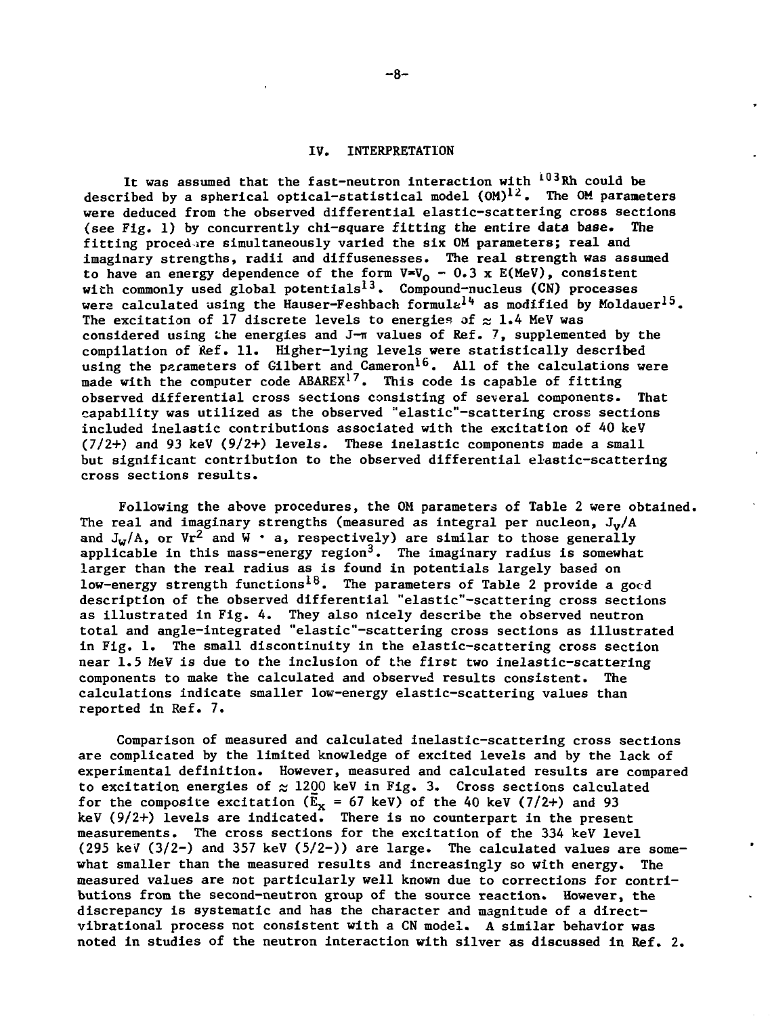#### IV. INTERPRETATION

It was assumed that the fast-neutron interaction with <sup>103</sup>Rh could be described by a spherical optical-statistical model (OM)<sup>12</sup>. The OM parameters were deduced from the observed differential elastic-scattering cross sections (see Fig. 1) by concurrently chi-square fitting the entire data base. The fitting procedure simultaneously varied the six OM parameters; real and imaginary strengths, radii and diffusenesses. The real strength was assumed to have an energy dependence of the form V\*V<sub>O</sub> - 0.3 x E(MeV), consistent with commonly used global potentials<sup>13</sup>. Compound-nucleus (CN) processes were calculated using the Hauser-Feshbach formula<sup>14</sup> as modified by Moldauer<sup>15</sup>. The excitation of 17 discrete levels to energies of  $\approx$  1.4 MeV was considered using the energies and  $J-\pi$  values of Ref. 7, supplemented by the compilation of Kef. 11. Higher-lying levels were statistically described using the p $z$ rameters of Gilbert and Cameron $^{16}$ . All of the calculations were made with the computer code  ${\tt ABAREX}^{17}$ . This code is capable of fitting observed differential cross sections consisting of several components. That capability was utilized as the observed "elastic"-scattering cross sections included inelastic contributions associated with the excitation of 40 key  $(7/2+)$  and 93 keV  $(9/2+)$  levels. These inelastic components made a small but significant contribution to the observed differential elastic-scattering cross sections results.

Following the above procedures, the OM parameters of Table 2 were obtained. The real and imaginary strengths (measured as integral per nucleon,  $J_v/A$ and  $J_w/A$ , or  $Vr^2$  and  $W \cdot a$ , respectively) are similar to those generally applicable in this mass-energy region<sup>3</sup>. The imaginary radius is somewhat larger than the real radius as is found in potentials largely based on  $\frac{1}{w}$ -energy strength functions<sup>18</sup>. The parameters of Table 2 provide a good description of the observed differential "elastic"-scattering cross sections as illustrated in Fig. 4. They also nicely describe the observed neutron total and angle-integrated "elastic"-scattering cross sections as illustrated in Fig. 1. The small discontinuity in the elastic-scattering cross section near 1.5 MeV is due to the inclusion of the first two inelastic-scattering components to make the calculated and observed results consistent. The calculations indicate smaller low-energy elastic-scattering values than reported in Ref. 7.

Comparison of measured and calculated inelastic—scattering cross sections are complicated by the limited knowledge of excited levels and by the lack of experimental definition. However, measured and calculated results are compared to excitation energies of  $\approx$  1200 keV in Fig. 3. Cross sections calculated for the composite excitation ( $\bar{E}_x$  = 67 keV) of the 40 keV (7/2+) and 93 keV (9/2+) levels are indicated. There is no counterpart in the present measurements. The cross sections for the excitation of the 334 keV level (295 keV  $(3/2-)$  and 357 keV  $(5/2-)$ ) are large. The calculated values are somewhat smaller than the measured results and increasingly so with energy. The measured values are not particularly well known due to corrections for contributions from the second-neutron group of the source reaction. However, the discrepancy is systematic and has the character and magnitude of a directvibrational process not consistent with a CN model. A similar behavior was noted in studies of the neutron interaction with silver as discussed in Ref. 2.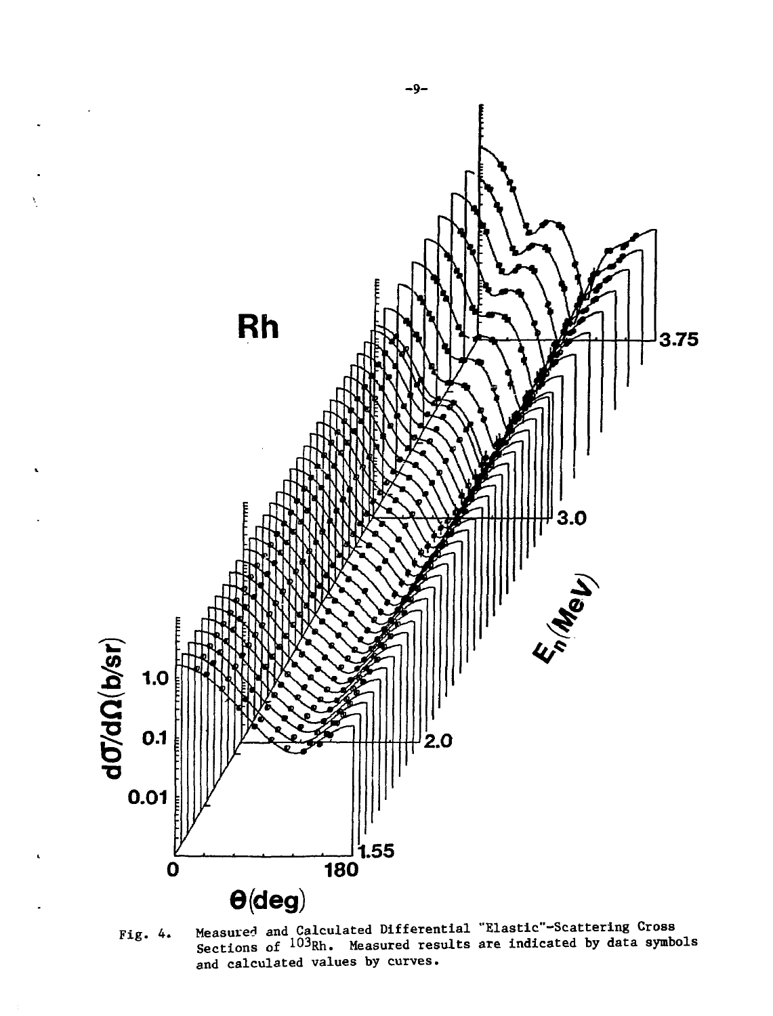

Â,

Fig. 4. Measured and Calculated Differential "Elastic"-Scattering Cross  $\rm{Sections\,\,\, of}$   $\rm{103Rh.}$  Measured results are indicated by data symbols and calculated values by curves.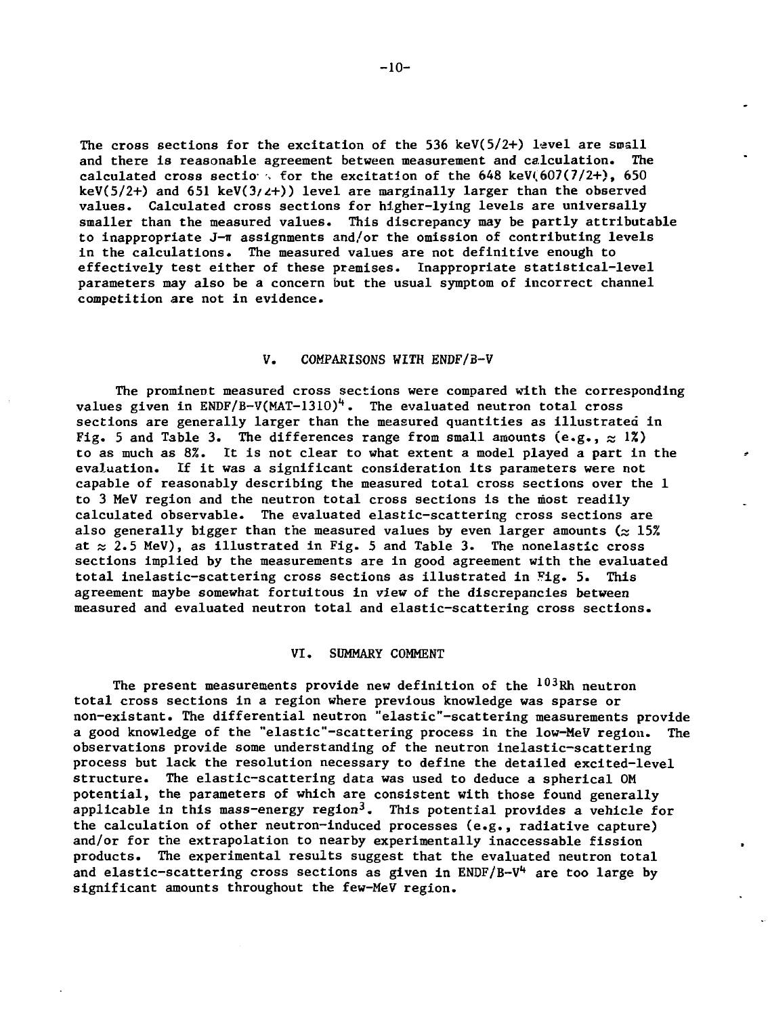The cross sections for the excitation of the 536 keV( $5/2+$ ) level are small and there is reasonable agreement between measurement and calculation. The calculated cross sectio  $\frac{1}{2}$  for the excitation of the 648 keV(607(7/2+), 650 keV( $5/2+$ ) and  $651$  keV( $3/2+$ )) level are marginally larger than the observed values. Calculated cross sections for higher-lying levels are universally smaller than the measured values. This discrepancy may be partly attributable to inappropriate  $J-\pi$  assignments and/or the omission of contributing levels in the calculations. The measured values are not definitive enough to effectively test either of these premises. Inappropriate statistical-level parameters may also be a concern but the usual symptom of incorrect channel competition are not in evidence.

### V. COMPARISONS WITH ENDF/3-V

The prominent measured cross sections were compared with the corresponding values given in ENDF/B-V(MAT-1310)<sup>4</sup>. The evaluated neutron total cross sections are generally larger than the measured quantities as illustrated in Fig. 5 and Table 3. The differences range from small amounts (e.g.,  $\approx$  1%) to as much as 8%. It is not clear to what extent a model played a part in the evaluation. If it was a significant consideration its parameters were not capable of reasonably describing the measured total cross sections over the 1 to 3 MeV region and the neutron total cross sections is the most readily calculated observable. The evaluated elastic-scattering cross sections are also generally bigger than the measured values by even larger amounts  $(z, 15%$ at  $\approx$  2.5 MeV), as illustrated in Fig. 5 and Table 3. The nonelastic cross sections implied by the measurements are in good agreement with the evaluated total inelastic-scattering cross sections as illustrated in ?ig. 5. This agreement maybe somewhat fortuitous in view of the discrepancies between measured and evaluated neutron total and elastic-scattering cross sections.

### VI. SUMMARY COMMENT

The present measurements provide new definition of the <sup>103</sup>Rh neutron total cross sections in a region where previous knowledge was sparse or non-existant. The differential neutron "elastic"-scattering measurements provide a good knowledge of the "elastic"-scattering process in the low-MeV region. The observations provide some understanding of the neutron inelastic-scattering process but lack the resolution necessary to define the detailed excited-level structure. The elastic-scattering data was used to deduce a spherical 0M potential, the parameters of which are consistent with those found generally applicable in this mass-energy region<sup>3</sup>. This potential provides a vehicle for the calculation of other neutron-induced processes (e.g., radiative capture) and/or for the extrapolation to nearby experimentally inaccessable fission products. The experimental results suggest that the evaluated neutron total and elastic-scattering cross sections as given in  $ENDF/B-V^4$  are too large by significant amounts throughout the few-MeV region.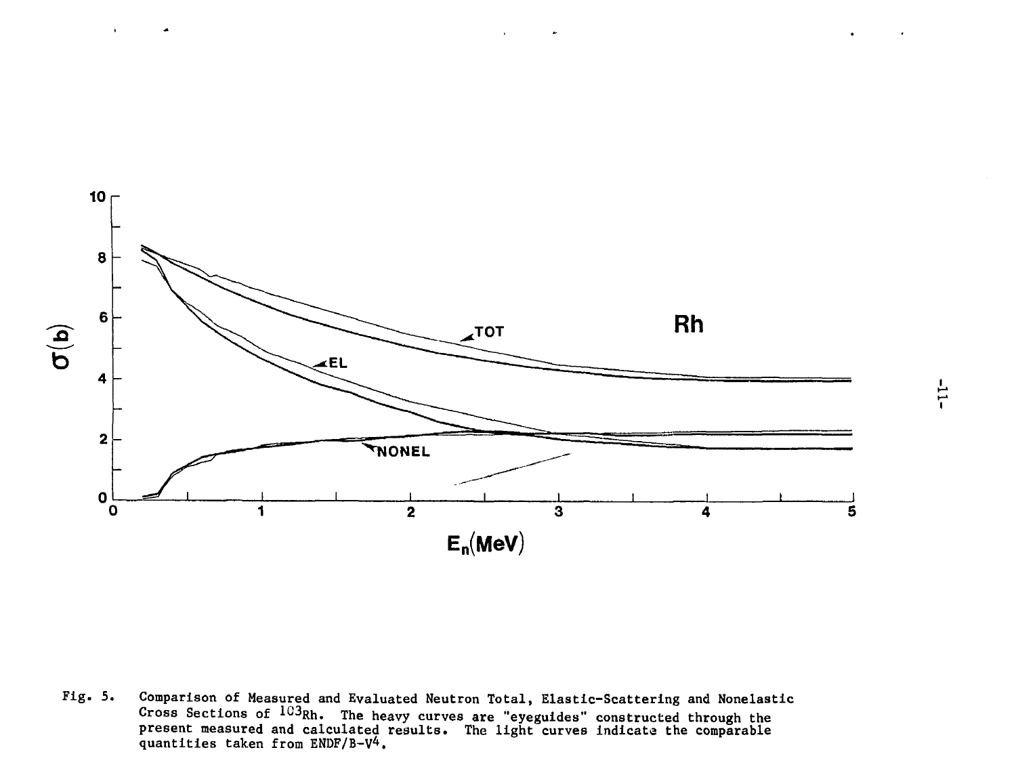

 $\mathbf{r}$ 

Fig. 5. Comparison of Measured and Evaluated Neutron Total, Elastic-Scattering and Nonelastic Cross Sections of  $103Rh$ . The heavy curves are "eveguides" constructed through the present measured and calculated results. The light curves indicate the comparable quantities taken from ENDF/B-V^.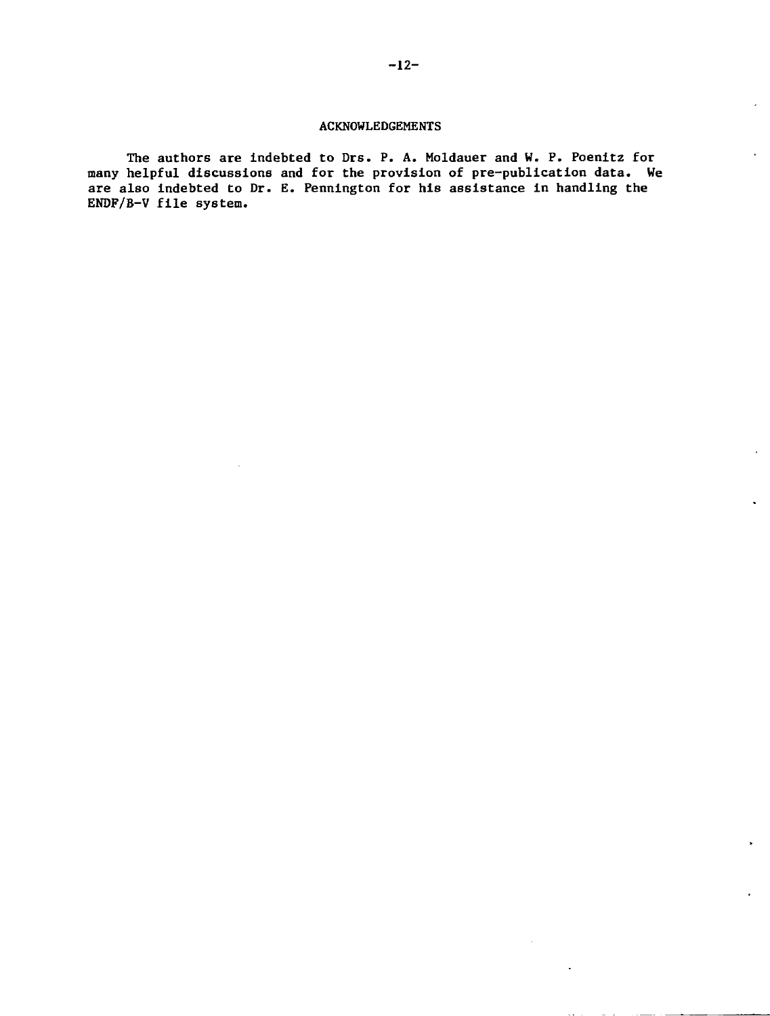## ACKNOWLEDGEMENTS

The authors are indebted to Drs. P. A. Moldauer and W. P. Poenitz for many helpful discussions and for the provision of pre-publication data. We are also indebted to Dr. E. Pennington for his assistance in handling the ENDF/B-V file system.

 $\ddot{\phantom{a}}$ 

 $\overline{a}$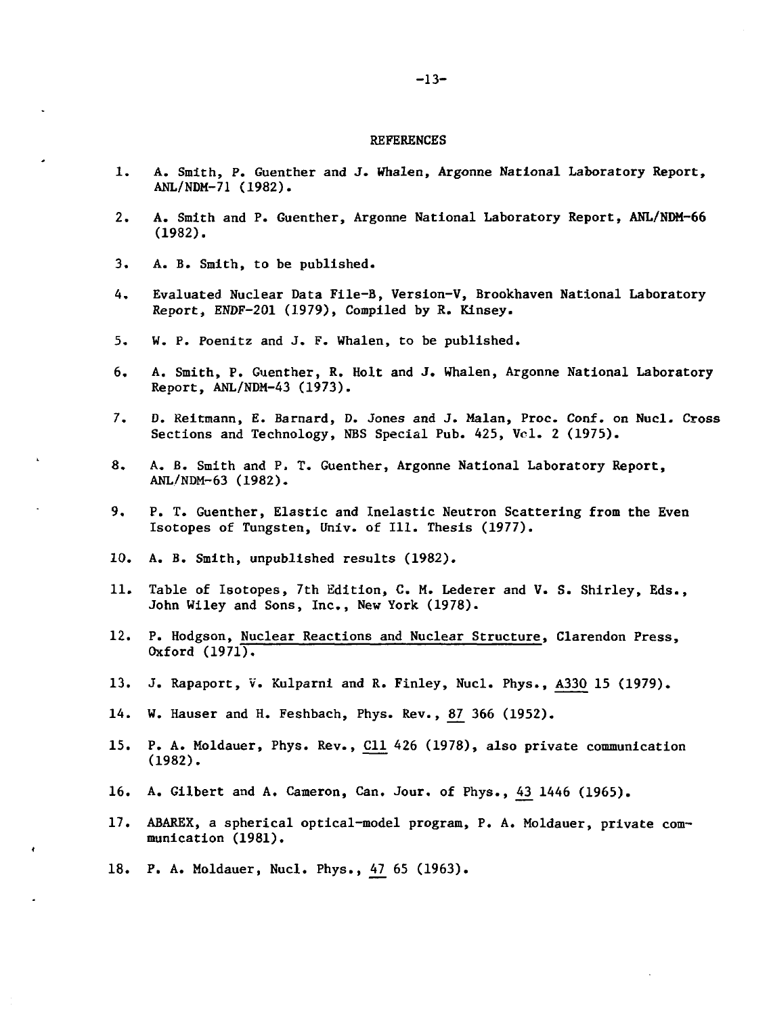#### REFERENCES

- 1. A. Smith, P. Guenther and J. Whalen, Argonne National Laboratory Report, ANL/NDM-71 (1982).
- 2. A. Smith and P. Guenther, Argonne National Laboratory Report, ANL/NDM-66 (1982).
- 3. A. B. Smith, to be published.
- 4. Evaluated Nuclear Data File-B, Version-V, Brookhaven National Laboratory Report, ENDF-201 (1979), Compiled by R. Kinsey.
- 5. W. P. Poenitz and J. F. Whalen, to be published.
- 6. A. Smith, P. Guenther, R. Holt and J. Whalen, Argonne National Laboratory Report, ANL/NDM-43 (1973).
- 7. 0. Reitmann, E. Barnard, D. Jones and J. Malan, Proc. Conf. on Nucl. Cross Sections and Technology, NBS Special Pub. 425, Vol. 2 (1975).
- 8. A. B. Smith and P. T. Guenther, Argonne National Laboratory Report, ANL/NDM-63 (1982).
- 9. P. T. Guenther, Elastic and Inelastic Neutron Scattering from the Even Isotopes of Tungsten, Univ. of 111. Thesis (1977).
- 10. A. B. Smith, unpublished results (1982).
- 11. Table of Isotopes, 7th Edition, C. M. Lederer and V. S. Shirley, Eds., John Wiley and Sons, Inc., New York (1978).
- 12. P. Hodgson, Nuclear Reactions and Nuclear Structure, Clarendon Press, Oxford (1971).
- 13. J. Rapaport, V. Kulparni and R. Finley, Nucl. Phys., A330 15 (1979).
- 14. W. Hauser and H. Feshbach, Phys. Rev., 87\_ 366 (1952).
- 15. P. A. Moldauer, Phys. Rev., Cll 426 (1978), also private communication (1982).
- 16. A. Gilbert and A. Cameron, Can. Jour, of Phys., 43\_ 1446 (1965).
- 17. ABAREX, a spherical optical-model program, P. A. Moldauer, private communication (1981).
- 18. P. A. Moldauer, Nucl. Phys., 47 65 (1963).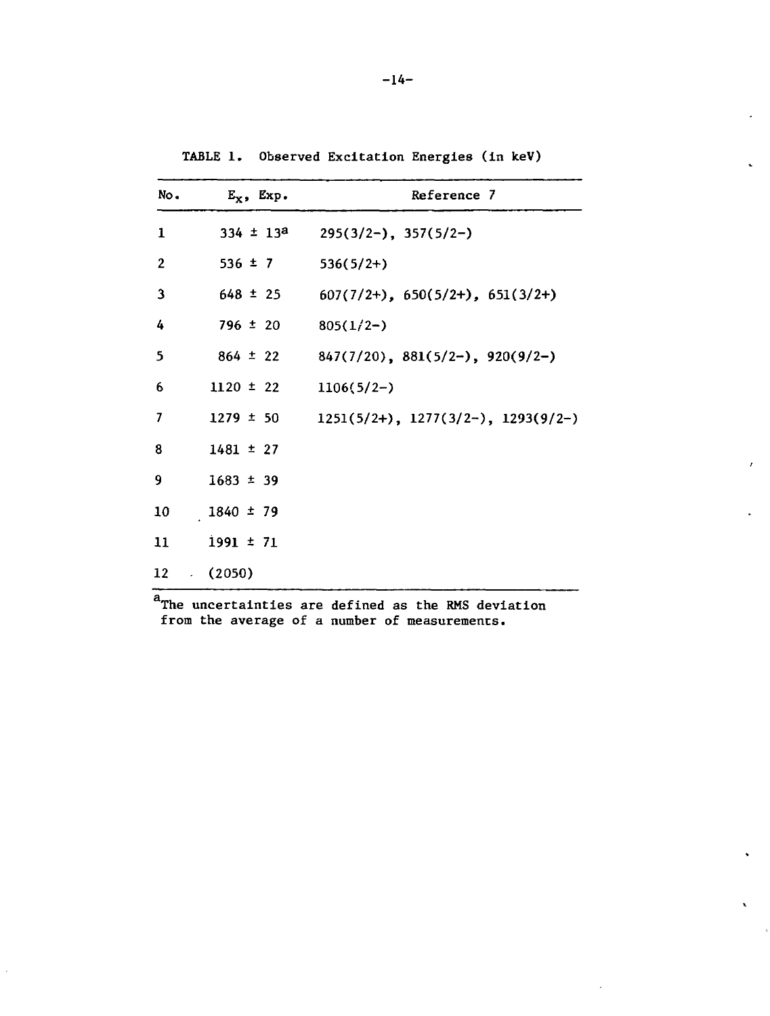| TABLE 1. Observed Excitation Energies (in keV) |  |  |  |
|------------------------------------------------|--|--|--|
|------------------------------------------------|--|--|--|

| No.             | $E_x$ , Exp.  | Reference 7                                          |
|-----------------|---------------|------------------------------------------------------|
| 1               |               | $334 \pm 13^2$ $295(3/2-)$ , $357(5/2-)$             |
| $\mathbf{2}$    | $536 \pm 7$   | $536(5/2+)$                                          |
| 3               |               | $648 \pm 25$ $607(7/2+)$ , $650(5/2+)$ , $651(3/2+)$ |
| 4               | $796 \pm 20$  | $805(1/2-)$                                          |
| 5               |               | $864 \pm 22$ $847(7/20)$ , $881(5/2-)$ , $920(9/2-)$ |
| 6               | $1120 \pm 22$ | $1106(5/2-)$                                         |
| $\overline{7}$  | $1279 \pm 50$ | $1251(5/2+)$ , $1277(3/2-)$ , $1293(9/2-)$           |
| 8               | $1481 \pm 27$ |                                                      |
| 9               | $1683 \pm 39$ |                                                      |
| 10              | $1840 \pm 79$ |                                                      |
| 11 <sup>1</sup> | $1991 \pm 71$ |                                                      |
| 12              | (2050)        |                                                      |

The uncertainties are defined as the RMS deviation from the average of a number of measurements.

 $\ddot{\phantom{0}}$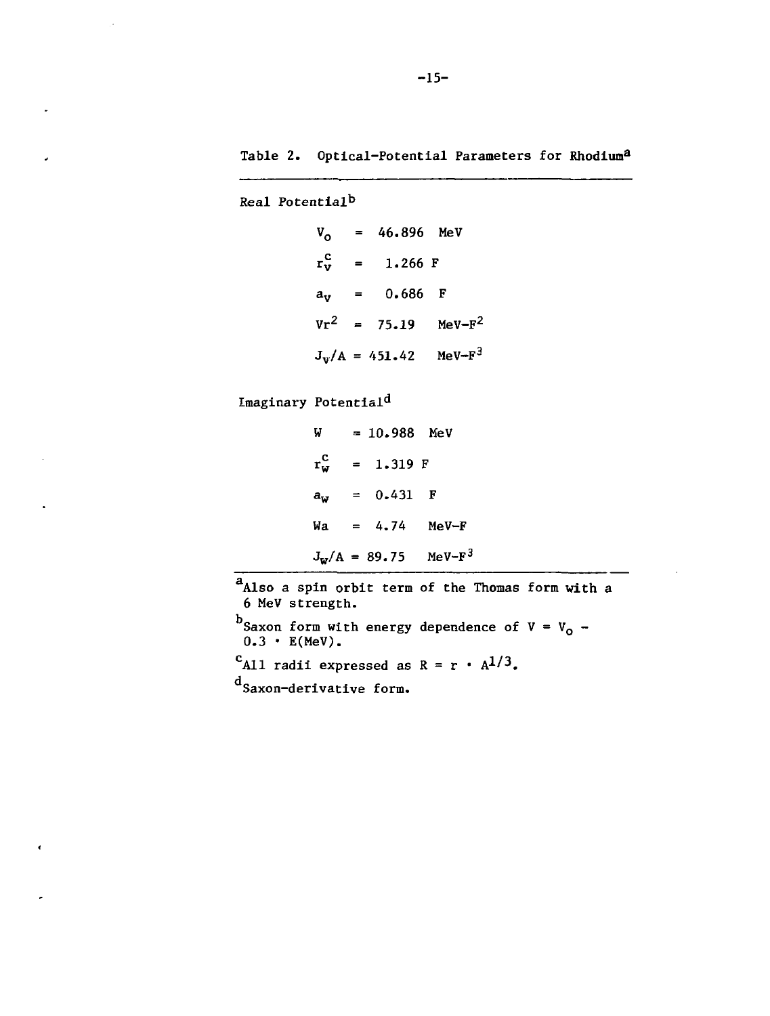Table 2. Optical-Potential Parameters for Rhodium<sup>a</sup>

|  | Real Potentialb |
|--|-----------------|
|--|-----------------|

 $V_{\Omega}$  $r_v^{\rm c}$  $a_v$  = 46. 896 MeV 1. 266 F 0. 686 F  $Vr^2$  = 75.19 MeV-F<sup>2</sup>  $J_V/A = 451.42$  MeV-F<sup>3</sup>

Imaginary Potential<sup>d</sup>

 $W = 10.988$  MeV  $r_w^C = 1.319 F$  $a_w = 0.431$  F  $Wa = 4.74$  MeV-F  $J_w/A = 89.75$  MeV-F<sup>3</sup>

Also a spin orbit term of the Thomas form with a 6 MeV strength. Saxon form with energy dependence of V = V<sub>o</sub> -0.3 • E(MeV). CAll radii expressed as  $R = r \cdot A^{1/3}$ . Saxon-derivative form.